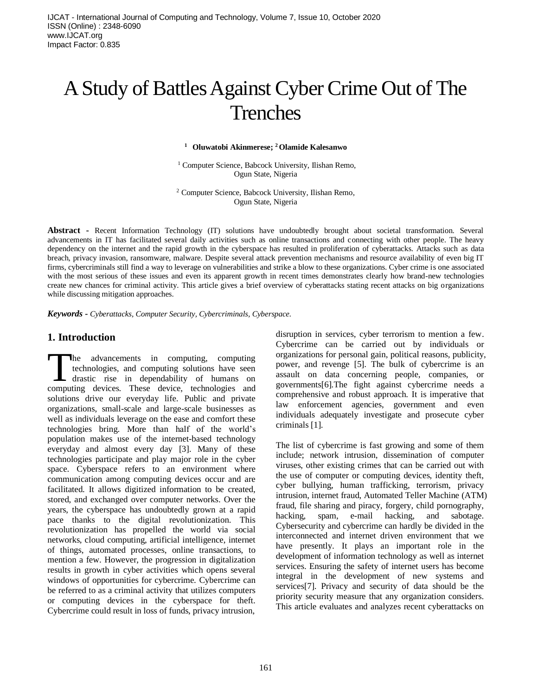# A Study of Battles Against Cyber Crime Out of The Trenches

**<sup>1</sup> Oluwatobi Akinmerese; <sup>2</sup>Olamide Kalesanwo**

<sup>1</sup> Computer Science, Babcock University, Ilishan Remo, Ogun State, Nigeria

<sup>2</sup> Computer Science, Babcock University, Ilishan Remo, Ogun State, Nigeria

**Abstract -** Recent Information Technology (IT) solutions have undoubtedly brought about societal transformation. Several advancements in IT has facilitated several daily activities such as online transactions and connecting with other people. The heavy dependency on the internet and the rapid growth in the cyberspace has resulted in proliferation of cyberattacks. Attacks such as data breach, privacy invasion, ransomware, malware. Despite several attack prevention mechanisms and resource availability of even big IT firms, cybercriminals still find a way to leverage on vulnerabilities and strike a blow to these organizations. Cyber crime is one associated with the most serious of these issues and even its apparent growth in recent times demonstrates clearly how brand-new technologies create new chances for criminal activity. This article gives a brief overview of cyberattacks stating recent attacks on big organizations while discussing mitigation approaches.

*Keywords - Cyberattacks, Computer Security, Cybercriminals, Cyberspace.*

#### **1. Introduction**

he advancements in computing, computing technologies, and computing solutions have seen drastic rise in dependability of humans on The advancements in computing, computing technologies, and computing solutions have seen drastic rise in dependability of humans on computing devices. These device, technologies and solutions drive our everyday life. Public and private organizations, small-scale and large-scale businesses as well as individuals leverage on the ease and comfort these technologies bring. More than half of the world's population makes use of the internet-based technology everyday and almost every day [3]. Many of these technologies participate and play major role in the cyber space. Cyberspace refers to an environment where communication among computing devices occur and are facilitated. It allows digitized information to be created, stored, and exchanged over computer networks. Over the years, the cyberspace has undoubtedly grown at a rapid pace thanks to the digital revolutionization. This revolutionization has propelled the world via social networks, cloud computing, artificial intelligence, internet of things, automated processes, online transactions, to mention a few. However, the progression in digitalization results in growth in cyber activities which opens several windows of opportunities for cybercrime. Cybercrime can be referred to as a criminal activity that utilizes computers or computing devices in the cyberspace for theft. Cybercrime could result in loss of funds, privacy intrusion,

disruption in services, cyber terrorism to mention a few. Cybercrime can be carried out by individuals or organizations for personal gain, political reasons, publicity, power, and revenge [5]. The bulk of cybercrime is an assault on data concerning people, companies, or governments[6].The fight against cybercrime needs a comprehensive and robust approach. It is imperative that law enforcement agencies, government and even individuals adequately investigate and prosecute cyber criminals [1].

The list of cybercrime is fast growing and some of them include; network intrusion, dissemination of computer viruses, other existing crimes that can be carried out with the use of computer or computing devices, identity theft, cyber bullying, human trafficking, terrorism, privacy intrusion, internet fraud, Automated Teller Machine (ATM) fraud, file sharing and piracy, forgery, child pornography, hacking, spam, e-mail hacking, and sabotage. Cybersecurity and cybercrime can hardly be divided in the interconnected and internet driven environment that we have presently. It plays an important role in the development of information technology as well as internet services. Ensuring the safety of internet users has become integral in the development of new systems and services[7]. Privacy and security of data should be the priority security measure that any organization considers. This article evaluates and analyzes recent cyberattacks on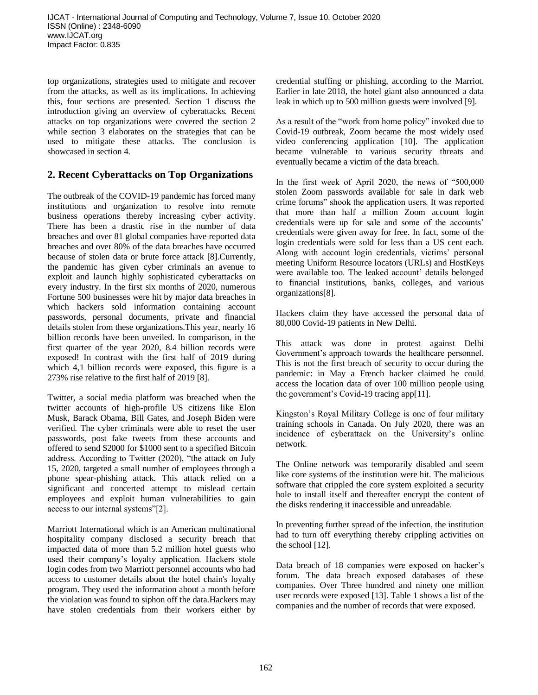top organizations, strategies used to mitigate and recover from the attacks, as well as its implications. In achieving this, four sections are presented. Section 1 discuss the introduction giving an overview of cyberattacks. Recent attacks on top organizations were covered the section 2 while section 3 elaborates on the strategies that can be used to mitigate these attacks. The conclusion is showcased in section 4.

## **2. Recent Cyberattacks on Top Organizations**

The outbreak of the COVID-19 pandemic has forced many institutions and organization to resolve into remote business operations thereby increasing cyber activity. There has been a drastic rise in the number of data breaches and over 81 global companies have reported data breaches and over 80% of the data breaches have occurred because of stolen data or brute force attack [8].Currently, the pandemic has given cyber criminals an avenue to exploit and launch highly sophisticated cyberattacks on every industry. In the first six months of 2020, numerous Fortune 500 businesses were hit by major data breaches in which hackers sold information containing account passwords, personal documents, private and financial details stolen from these organizations.This year, nearly 16 billion records have been unveiled. In comparison, in the first quarter of the year 2020, 8.4 billion records were exposed! In contrast with the first half of 2019 during which 4,1 billion records were exposed, this figure is a 273% rise relative to the first half of 2019 [8].

Twitter, a social media platform was breached when the twitter accounts of high-profile US citizens like Elon Musk, Barack Obama, Bill Gates, and Joseph Biden were verified. The cyber criminals were able to reset the user passwords, post fake tweets from these accounts and offered to send \$2000 for \$1000 sent to a specified Bitcoin address. According to Twitter (2020), "the attack on July 15, 2020, targeted a small number of employees through a phone spear-phishing attack. This attack relied on a significant and concerted attempt to mislead certain employees and exploit human vulnerabilities to gain access to our internal systems"[2].

Marriott International which is an American multinational hospitality company disclosed a security breach that impacted data of more than 5.2 million hotel guests who used their company's loyalty application. Hackers stole login codes from two Marriott personnel accounts who had access to customer details about the hotel chain's loyalty program. They used the information about a month before the violation was found to siphon off the data.Hackers may have stolen credentials from their workers either by

credential stuffing or phishing, according to the Marriot. Earlier in late 2018, the hotel giant also announced a data leak in which up to 500 million guests were involved [9].

As a result of the "work from home policy" invoked due to Covid-19 outbreak, Zoom became the most widely used video conferencing application [10]. The application became vulnerable to various security threats and eventually became a victim of the data breach.

In the first week of April 2020, the news of "500,000 stolen Zoom passwords available for sale in dark web crime forums" shook the application users. It was reported that more than half a million Zoom account login credentials were up for sale and some of the accounts' credentials were given away for free. In fact, some of the login credentials were sold for less than a US cent each. Along with account login credentials, victims' personal meeting Uniform Resource locators (URLs) and HostKeys were available too. The leaked account' details belonged to financial institutions, banks, colleges, and various organizations[8].

Hackers claim they have accessed the personal data of 80,000 Covid-19 patients in New Delhi.

This attack was done in protest against Delhi Government's approach towards the healthcare personnel. This is not the first breach of security to occur during the pandemic: in May a French hacker claimed he could access the location data of over 100 million people using the government's Covid-19 tracing app[11].

Kingston's Royal Military College is one of four military training schools in Canada. On July 2020, there was an incidence of cyberattack on the University's online network.

The Online network was temporarily disabled and seem like core systems of the institution were hit. The malicious software that crippled the core system exploited a security hole to install itself and thereafter encrypt the content of the disks rendering it inaccessible and unreadable.

In preventing further spread of the infection, the institution had to turn off everything thereby crippling activities on the school [12].

Data breach of 18 companies were exposed on hacker's forum. The data breach exposed databases of these companies. Over Three hundred and ninety one million user records were exposed [13]. Table 1 shows a list of the companies and the number of records that were exposed.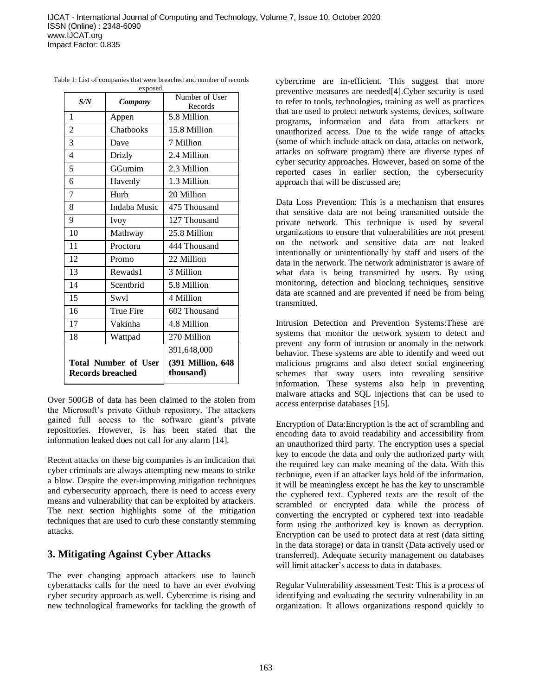| S/N                                             | Company          | Number of User<br>Records      |
|-------------------------------------------------|------------------|--------------------------------|
| 1                                               | Appen            | 5.8 Million                    |
| $\overline{2}$                                  | Chatbooks        | 15.8 Million                   |
| 3                                               | Dave             | 7 Million                      |
| $\overline{4}$                                  | Drizly           | 2.4 Million                    |
| 5                                               | GGumim           | 2.3 Million                    |
| 6                                               | Havenly          | 1.3 Million                    |
| 7                                               | Hurb             | 20 Million                     |
| 8                                               | Indaba Music     | 475 Thousand                   |
| 9                                               | Ivoy             | 127 Thousand                   |
| 10                                              | Mathway          | 25.8 Million                   |
| 11                                              | Proctoru         | 444 Thousand                   |
| 12                                              | Promo            | 22 Million                     |
| 13                                              | Rewads1          | 3 Million                      |
| 14                                              | Scentbrid        | 5.8 Million                    |
| 15                                              | Swyl             | 4 Million                      |
| 16                                              | <b>True Fire</b> | 602 Thousand                   |
| 17                                              | Vakinha          | 4.8 Million                    |
| 18                                              | Wattpad          | 270 Million                    |
|                                                 |                  | 391,648,000                    |
| <b>Total Number of User</b><br>Records breached |                  | (391 Million, 648<br>thousand) |

Table 1: List of companies that were breached and number of records exposed.

Over 500GB of data has been claimed to the stolen from the Microsoft's private Github repository. The attackers gained full access to the software giant's private repositories. However, is has been stated that the information leaked does not call for any alarm [14].

Recent attacks on these big companies is an indication that cyber criminals are always attempting new means to strike a blow. Despite the ever-improving mitigation techniques and cybersecurity approach, there is need to access every means and vulnerability that can be exploited by attackers. The next section highlights some of the mitigation techniques that are used to curb these constantly stemming attacks.

### **3. Mitigating Against Cyber Attacks**

The ever changing approach attackers use to launch cyberattacks calls for the need to have an ever evolving cyber security approach as well. Cybercrime is rising and new technological frameworks for tackling the growth of cybercrime are in-efficient. This suggest that more preventive measures are needed[4].Cyber security is used to refer to tools, technologies, training as well as practices that are used to protect network systems, devices, software programs, information and data from attackers or unauthorized access. Due to the wide range of attacks (some of which include attack on data, attacks on network, attacks on software program) there are diverse types of cyber security approaches. However, based on some of the reported cases in earlier section, the cybersecurity approach that will be discussed are;

Data Loss Prevention: This is a mechanism that ensures that sensitive data are not being transmitted outside the private network. This technique is used by several organizations to ensure that vulnerabilities are not present on the network and sensitive data are not leaked intentionally or unintentionally by staff and users of the data in the network. The network administrator is aware of what data is being transmitted by users. By using monitoring, detection and blocking techniques, sensitive data are scanned and are prevented if need be from being transmitted.

Intrusion Detection and Prevention Systems:These are systems that monitor the network system to detect and prevent any form of intrusion or anomaly in the network behavior. These systems are able to identify and weed out malicious programs and also detect social engineering schemes that sway users into revealing sensitive information. These systems also help in preventing malware attacks and SQL injections that can be used to access enterprise databases [15].

Encryption of Data:Encryption is the act of scrambling and encoding data to avoid readability and accessibility from an unauthorized third party. The encryption uses a special key to encode the data and only the authorized party with the required key can make meaning of the data. With this technique, even if an attacker lays hold of the information, it will be meaningless except he has the key to unscramble the cyphered text. Cyphered texts are the result of the scrambled or encrypted data while the process of converting the encrypted or cyphered text into readable form using the authorized key is known as decryption. Encryption can be used to protect data at rest (data sitting in the data storage) or data in transit (Data actively used or transferred). Adequate security management on databases will limit attacker's access to data in databases.

Regular Vulnerability assessment Test: This is a process of identifying and evaluating the security vulnerability in an organization. It allows organizations respond quickly to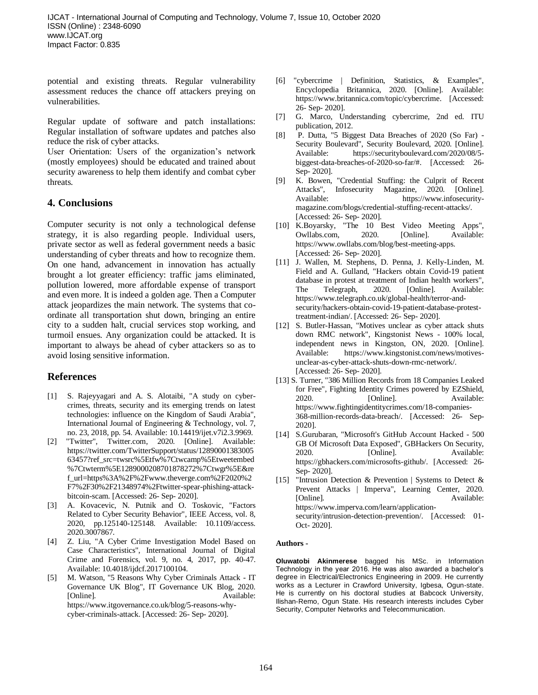potential and existing threats. Regular vulnerability assessment reduces the chance off attackers preying on vulnerabilities.

Regular update of software and patch installations: Regular installation of software updates and patches also reduce the risk of cyber attacks.

User Orientation: Users of the organization's network (mostly employees) should be educated and trained about security awareness to help them identify and combat cyber threats.

#### **4. Conclusions**

Computer security is not only a technological defense strategy, it is also regarding people. Individual users, private sector as well as federal government needs a basic understanding of cyber threats and how to recognize them. On one hand, advancement in innovation has actually brought a lot greater efficiency: traffic jams eliminated, pollution lowered, more affordable expense of transport and even more. It is indeed a golden age. Then a Computer attack jeopardizes the main network. The systems that coordinate all transportation shut down, bringing an entire city to a sudden halt, crucial services stop working, and turmoil ensues. Any organization could be attacked. It is important to always be ahead of cyber attackers so as to avoid losing sensitive information.

### **References**

- [1] S. Rajeyyagari and A. S. Alotaibi, "A study on cybercrimes, threats, security and its emerging trends on latest technologies: influence on the Kingdom of Saudi Arabia", International Journal of Engineering & Technology, vol. 7, no. 23, 2018, pp. 54. Available: 10.14419/ijet.v7i2.3.9969.
- [2] "Twitter", Twitter.com, 2020. [Online]. Available: https://twitter.com/TwitterSupport/status/12890001383005 63457?ref\_src=twsrc%5Etfw%7Ctwcamp%5Etweetembed %7Ctwterm%5E1289000208701878272%7Ctwgr%5E&re f\_url=https%3A%2F%2Fwww.theverge.com%2F2020%2 F7%2F30%2F21348974%2Ftwitter-spear-phishing-attackbitcoin-scam. [Accessed: 26- Sep- 2020].
- [3] A. Kovacevic, N. Putnik and O. Toskovic, "Factors Related to Cyber Security Behavior", IEEE Access, vol. 8, 2020, pp.125140-125148. Available: 10.1109/access. 2020.3007867.
- [4] Z. Liu, "A Cyber Crime Investigation Model Based on Case Characteristics", International Journal of Digital Crime and Forensics, vol. 9, no. 4, 2017, pp. 40-47. Available: 10.4018/ijdcf.2017100104.
- [5] M. Watson, "5 Reasons Why Cyber Criminals Attack IT Governance UK Blog", IT Governance UK Blog, 2020. [Online]. Available: https://www.itgovernance.co.uk/blog/5-reasons-whycyber-criminals-attack. [Accessed: 26- Sep- 2020].
- [6] "cybercrime | Definition, Statistics, & Examples", Encyclopedia Britannica, 2020. [Online]. Available: https://www.britannica.com/topic/cybercrime. [Accessed: 26- Sep- 2020].
- [7] G. Marco, Understanding cybercrime, 2nd ed. ITU publication, 2012.
- [8] P. Dutta, "5 Biggest Data Breaches of 2020 (So Far) Security Boulevard", Security Boulevard, 2020. [Online]. Available: https://securityboulevard.com/2020/08/5 biggest-data-breaches-of-2020-so-far/#. [Accessed: 26- Sep- 2020].
- [9] K. Bowen, "Credential Stuffing: the Culprit of Recent Attacks", Infosecurity Magazine, 2020. [Online]. Available: https://www.infosecuritymagazine.com/blogs/credential-stuffing-recent-attacks/. [Accessed: 26- Sep- 2020].
- [10] K.Boyarsky, "The 10 Best Video Meeting Apps", Owllabs.com, 2020. [Online]. Available: https://www.owllabs.com/blog/best-meeting-apps. [Accessed: 26- Sep- 2020].
- [11] J. Wallen, M. Stephens, D. Penna, J. Kelly-Linden, M. Field and A. Gulland, "Hackers obtain Covid-19 patient database in protest at treatment of Indian health workers", The Telegraph, 2020. [Online]. Available: https://www.telegraph.co.uk/global-health/terror-andsecurity/hackers-obtain-covid-19-patient-database-protesttreatment-indian/. [Accessed: 26- Sep- 2020].
- [12] S. Butler-Hassan, "Motives unclear as cyber attack shuts down RMC network", Kingstonist News - 100% local, independent news in Kingston, ON, 2020. [Online]. Available: https://www.kingstonist.com/news/motivesunclear-as-cyber-attack-shuts-down-rmc-network/. [Accessed: 26- Sep- 2020].
- [13] S. Turner, "386 Million Records from 18 Companies Leaked for Free", Fighting Identity Crimes powered by EZShield, 2020. [Online]. Available: https://www.fightingidentitycrimes.com/18-companies-368-million-records-data-breach/. [Accessed: 26- Sep-2020].
- [14] S.Gurubaran, "Microsoft's GitHub Account Hacked 500 GB Of Microsoft Data Exposed", GBHackers On Security, 2020. [Online]. Available: https://gbhackers.com/microsofts-github/. [Accessed: 26- Sep- 2020].
- [15] "Intrusion Detection & Prevention | Systems to Detect  $\&$ Prevent Attacks | Imperva", Learning Center, 2020. [Online]. Available: https://www.imperva.com/learn/applicationsecurity/intrusion-detection-prevention/. [Accessed: 01- Oct- 2020].

#### **Authors -**

**Oluwatobi Akinmerese** bagged his MSc. in Information Technology in the year 2016. He was also awarded a bachelor's degree in Electrical/Electronics Engineering in 2009. He currently works as a Lecturer in Crawford University, Igbesa, Ogun-state. He is currently on his doctoral studies at Babcock University, Ilishan-Remo, Ogun State. His research interests includes Cyber Security, Computer Networks and Telecommunication.